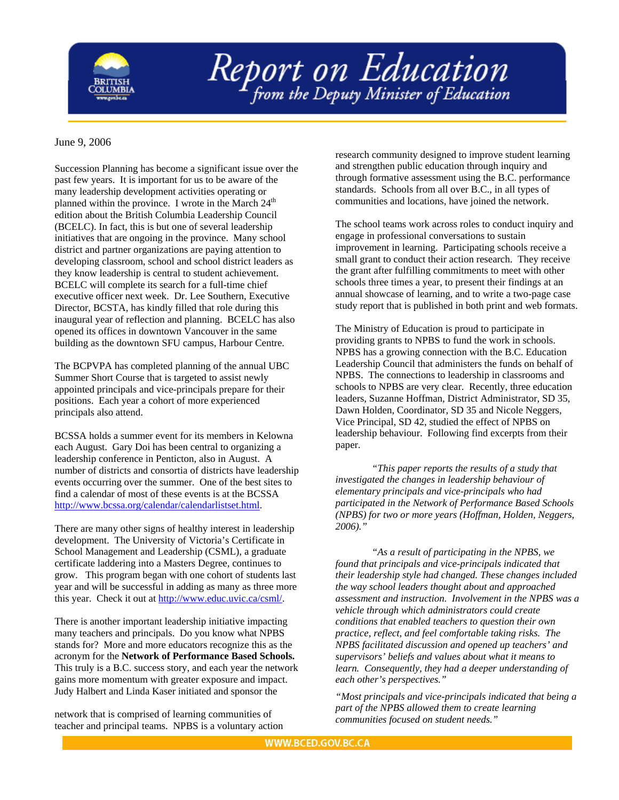

## Report on Education

## June 9, 2006

Succession Planning has become a significant issue over the past few years. It is important for us to be aware of the many leadership development activities operating or planned within the province. I wrote in the March 24<sup>th</sup> edition about the British Columbia Leadership Council (BCELC). In fact, this is but one of several leadership initiatives that are ongoing in the province. Many school district and partner organizations are paying attention to developing classroom, school and school district leaders as they know leadership is central to student achievement. BCELC will complete its search for a full-time chief executive officer next week. Dr. Lee Southern, Executive Director, BCSTA, has kindly filled that role during this inaugural year of reflection and planning. BCELC has also opened its offices in downtown Vancouver in the same building as the downtown SFU campus, Harbour Centre.

The BCPVPA has completed planning of the annual UBC Summer Short Course that is targeted to assist newly appointed principals and vice-principals prepare for their positions. Each year a cohort of more experienced principals also attend.

BCSSA holds a summer event for its members in Kelowna each August. Gary Doi has been central to organizing a leadership conference in Penticton, also in August. A number of districts and consortia of districts have leadership events occurring over the summer. One of the best sites to find a calendar of most of these events is at the BCSSA [http://www.bcssa.org/calendar/calendarlistset.html.](http://www.bcssa.org/calendar/calendarlistset.html)

There are many other signs of healthy interest in leadership development. The University of Victoria's Certificate in School Management and Leadership (CSML), a graduate certificate laddering into a Masters Degree, continues to grow. This program began with one cohort of students last year and will be successful in adding as many as three more this year. Check it out at <http://www.educ.uvic.ca/csml/>.

There is another important leadership initiative impacting many teachers and principals. Do you know what NPBS stands for? More and more educators recognize this as the acronym for the **Network of Performance Based Schools.**  This truly is a B.C. success story, and each year the network gains more momentum with greater exposure and impact. Judy Halbert and Linda Kaser initiated and sponsor the

network that is comprised of learning communities of teacher and principal teams. NPBS is a voluntary action

research community designed to improve student learning and strengthen public education through inquiry and through formative assessment using the B.C. performance standards. Schools from all over B.C., in all types of communities and locations, have joined the network.

The school teams work across roles to conduct inquiry and engage in professional conversations to sustain improvement in learning. Participating schools receive a small grant to conduct their action research. They receive the grant after fulfilling commitments to meet with other schools three times a year, to present their findings at an annual showcase of learning, and to write a two-page case study report that is published in both print and web formats.

The Ministry of Education is proud to participate in providing grants to NPBS to fund the work in schools. NPBS has a growing connection with the B.C. Education Leadership Council that administers the funds on behalf of NPBS. The connections to leadership in classrooms and schools to NPBS are very clear. Recently, three education leaders, Suzanne Hoffman, District Administrator, SD 35, Dawn Holden, Coordinator, SD 35 and Nicole Neggers, Vice Principal, SD 42, studied the effect of NPBS on leadership behaviour. Following find excerpts from their paper.

*"This paper reports the results of a study that investigated the changes in leadership behaviour of elementary principals and vice-principals who had participated in the Network of Performance Based Schools (NPBS) for two or more years (Hoffman, Holden, Neggers, 2006)."* 

*"As a result of participating in the NPBS, we found that principals and vice-principals indicated that their leadership style had changed. These changes included the way school leaders thought about and approached assessment and instruction. Involvement in the NPBS was a vehicle through which administrators could create conditions that enabled teachers to question their own practice, reflect, and feel comfortable taking risks. The NPBS facilitated discussion and opened up teachers' and supervisors' beliefs and values about what it means to learn. Consequently, they had a deeper understanding of each other's perspectives."* 

*"Most principals and vice-principals indicated that being a part of the NPBS allowed them to create learning communities focused on student needs."*